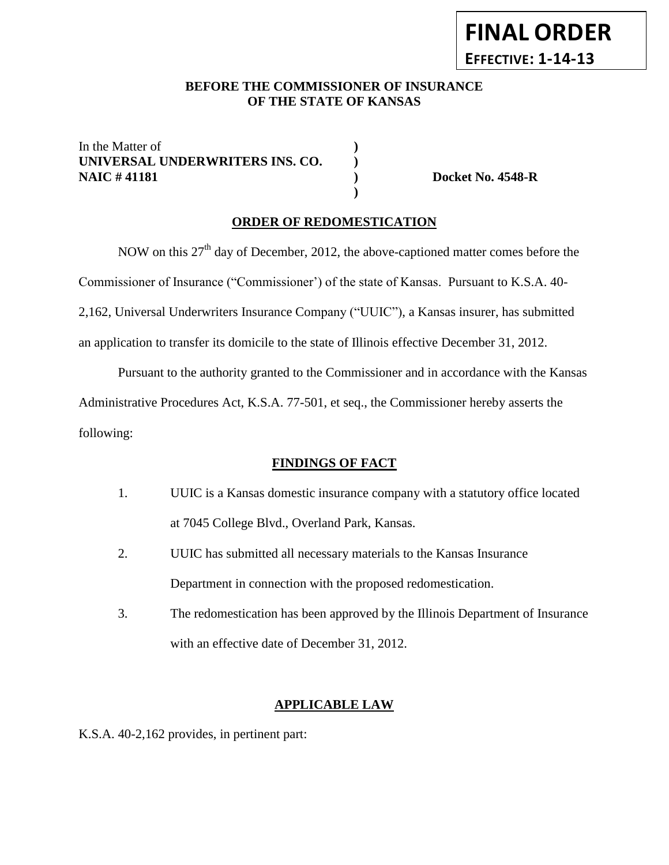# **FINAL ORDER EFFECTIVE: 1-14-13**

## BEFORE THE COMMISSIONER OF INSURANCE **OF THE STATE OF KANSAS**

In the Matter of **) UNIVERSAL UNDERWRITERS INS. CO. ) NAIC # 41181 ) Docket No. 4548-R**

### **ORDER OF REDOMESTICATION**

**)**

NOW on this  $27<sup>th</sup>$  day of December, 2012, the above-captioned matter comes before the Commissioner of Insurance ("Commissioner') of the state of Kansas. Pursuant to K.S.A. 40- 2,162, Universal Underwriters Insurance Company ("UUIC"), a Kansas insurer, has submitted an application to transfer its domicile to the state of Illinois effective December 31, 2012.

Pursuant to the authority granted to the Commissioner and in accordance with the Kansas Administrative Procedures Act, K.S.A. 77-501, et seq., the Commissioner hereby asserts the following:

### **FINDINGS OF FACT**

- 1. UUIC is a Kansas domestic insurance company with a statutory office located at 7045 College Blvd., Overland Park, Kansas.
- 2. UUIC has submitted all necessary materials to the Kansas Insurance Department in connection with the proposed redomestication.
- 3. The redomestication has been approved by the Illinois Department of Insurance with an effective date of December 31, 2012.

### **APPLICABLE LAW**

K.S.A. 40-2,162 provides, in pertinent part: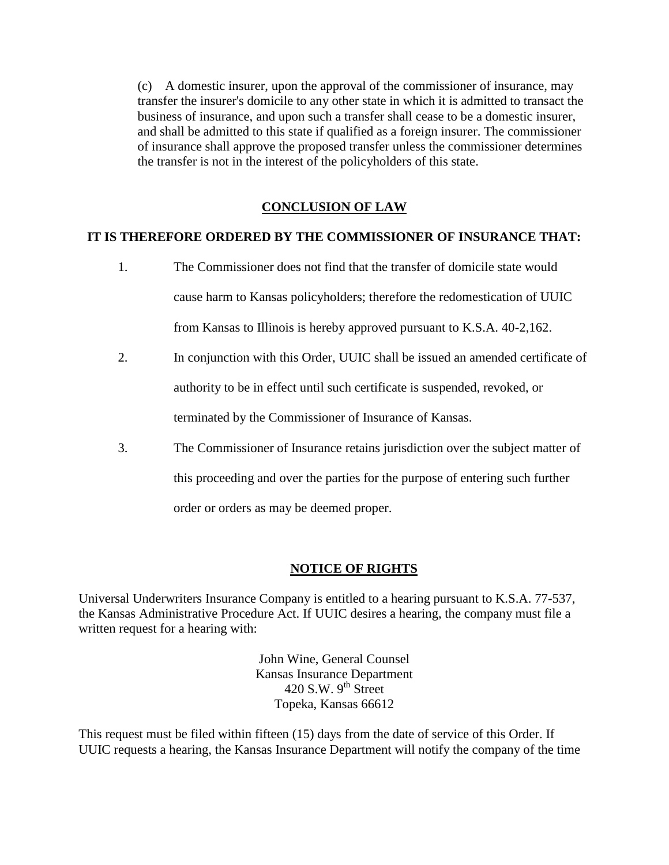(c) A domestic insurer, upon the approval of the commissioner of insurance, may transfer the insurer's domicile to any other state in which it is admitted to transact the business of insurance, and upon such a transfer shall cease to be a domestic insurer, and shall be admitted to this state if qualified as a foreign insurer. The commissioner of insurance shall approve the proposed transfer unless the commissioner determines the transfer is not in the interest of the policyholders of this state.

## **CONCLUSION OF LAW**

## **IT IS THEREFORE ORDERED BY THE COMMISSIONER OF INSURANCE THAT:**

- 1. The Commissioner does not find that the transfer of domicile state would cause harm to Kansas policyholders; therefore the redomestication of UUIC from Kansas to Illinois is hereby approved pursuant to K.S.A. 40-2,162.
- 2. In conjunction with this Order, UUIC shall be issued an amended certificate of authority to be in effect until such certificate is suspended, revoked, or terminated by the Commissioner of Insurance of Kansas.
- 3. The Commissioner of Insurance retains jurisdiction over the subject matter of this proceeding and over the parties for the purpose of entering such further order or orders as may be deemed proper.

### **NOTICE OF RIGHTS**

Universal Underwriters Insurance Company is entitled to a hearing pursuant to K.S.A. 77-537, the Kansas Administrative Procedure Act. If UUIC desires a hearing, the company must file a written request for a hearing with:

> John Wine, General Counsel Kansas Insurance Department 420 S.W.  $9<sup>th</sup>$  Street Topeka, Kansas 66612

This request must be filed within fifteen (15) days from the date of service of this Order. If UUIC requests a hearing, the Kansas Insurance Department will notify the company of the time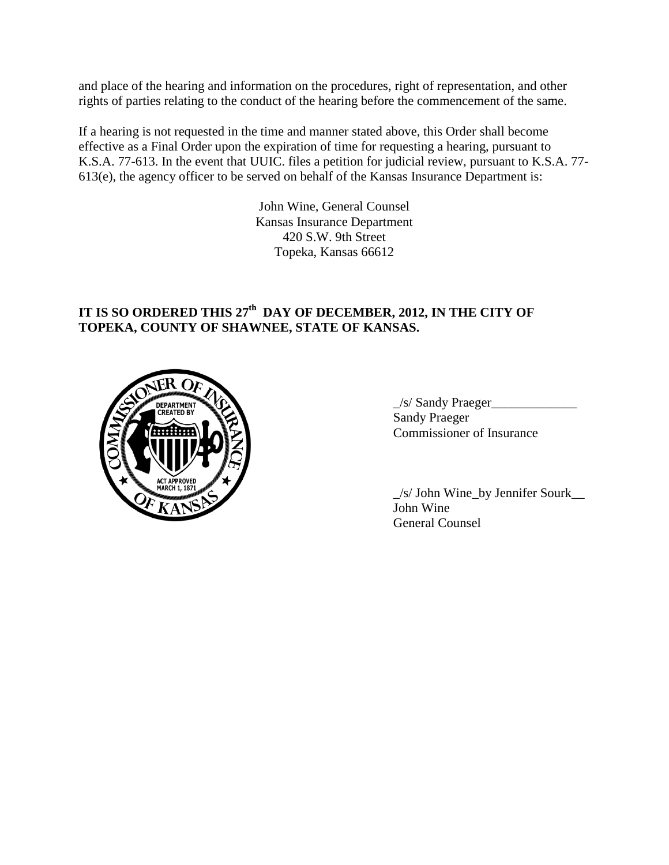and place of the hearing and information on the procedures, right of representation, and other rights of parties relating to the conduct of the hearing before the commencement of the same.

If a hearing is not requested in the time and manner stated above, this Order shall become effective as a Final Order upon the expiration of time for requesting a hearing, pursuant to K.S.A. 77-613. In the event that UUIC. files a petition for judicial review, pursuant to K.S.A. 77- 613(e), the agency officer to be served on behalf of the Kansas Insurance Department is:

> John Wine, General Counsel Kansas Insurance Department 420 S.W. 9th Street Topeka, Kansas 66612

# **IT IS SO ORDERED THIS 27th DAY OF DECEMBER, 2012, IN THE CITY OF TOPEKA, COUNTY OF SHAWNEE, STATE OF KANSAS.**



\_/s/ Sandy Praeger\_\_\_\_\_\_\_\_\_\_\_\_\_ Sandy Praeger Commissioner of Insurance

\_/s/ John Wine\_by Jennifer Sourk\_\_ John Wine General Counsel